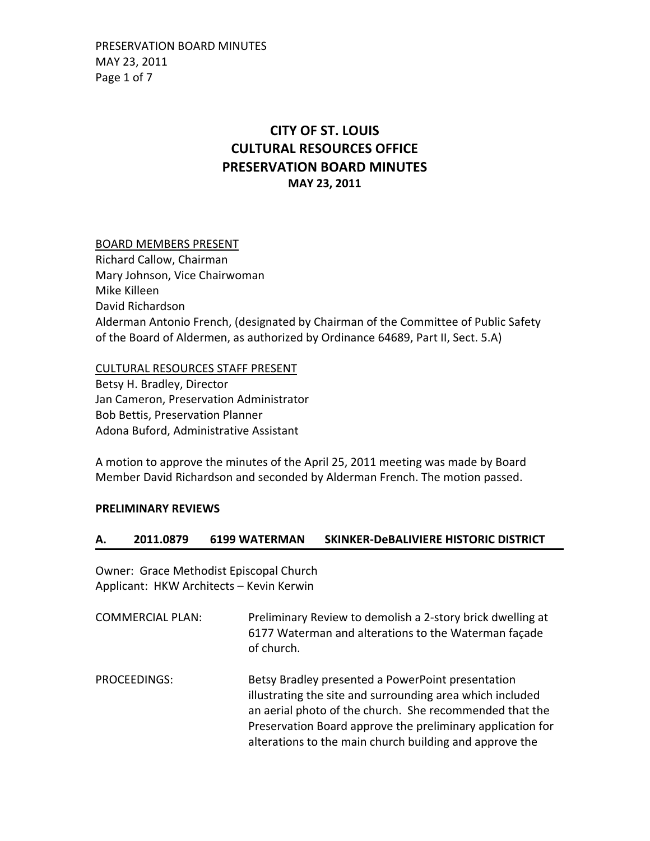PRESERVATION BOARD MINUTES MAY 23, 2011 Page 1 of 7

## **CITY OF ST. LOUIS CULTURAL RESOURCES OFFICE PRESERVATION BOARD MINUTES MAY 23, 2011**

### BOARD MEMBERS PRESENT

Richard Callow, Chairman Mary Johnson, Vice Chairwoman Mike Killeen David Richardson Alderman Antonio French, (designated by Chairman of the Committee of Public Safety of the Board of Aldermen, as authorized by Ordinance 64689, Part II, Sect. 5.A)

CULTURAL RESOURCES STAFF PRESENT

Betsy H. Bradley, Director Jan Cameron, Preservation Administrator Bob Bettis, Preservation Planner Adona Buford, Administrative Assistant

A motion to approve the minutes of the April 25, 2011 meeting was made by Board Member David Richardson and seconded by Alderman French. The motion passed.

### **PRELIMINARY REVIEWS**

### **A. 2011.0879 6199 WATERMAN SKINKER‐DeBALIVIERE HISTORIC DISTRICT**

Owner: Grace Methodist Episcopal Church Applicant: HKW Architects – Kevin Kerwin

- COMMERCIAL PLAN: Preliminary Review to demolish a 2‐story brick dwelling at 6177 Waterman and alterations to the Waterman façade of church.
- PROCEEDINGS: Betsy Bradley presented a PowerPoint presentation illustrating the site and surrounding area which included an aerial photo of the church. She recommended that the Preservation Board approve the preliminary application for alterations to the main church building and approve the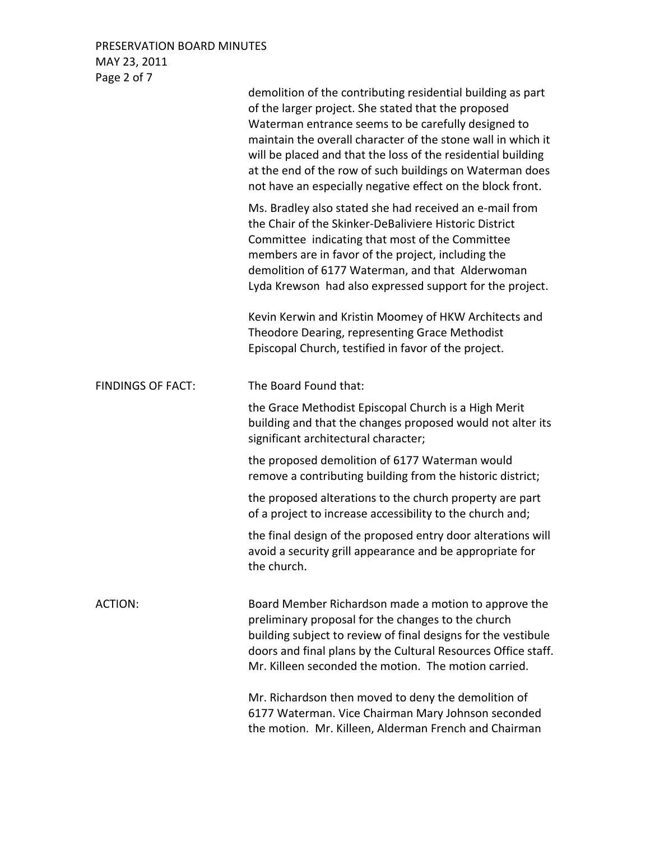PRESERVATION BOARD MINUTES MAY 23, 2011 Page 2 of 7

|                          | demolition of the contributing residential building as part<br>of the larger project. She stated that the proposed<br>Waterman entrance seems to be carefully designed to<br>maintain the overall character of the stone wall in which it<br>will be placed and that the loss of the residential building<br>at the end of the row of such buildings on Waterman does<br>not have an especially negative effect on the block front. |
|--------------------------|-------------------------------------------------------------------------------------------------------------------------------------------------------------------------------------------------------------------------------------------------------------------------------------------------------------------------------------------------------------------------------------------------------------------------------------|
|                          | Ms. Bradley also stated she had received an e-mail from<br>the Chair of the Skinker-DeBaliviere Historic District<br>Committee indicating that most of the Committee<br>members are in favor of the project, including the<br>demolition of 6177 Waterman, and that Alderwoman<br>Lyda Krewson had also expressed support for the project.                                                                                          |
|                          | Kevin Kerwin and Kristin Moomey of HKW Architects and<br>Theodore Dearing, representing Grace Methodist<br>Episcopal Church, testified in favor of the project.                                                                                                                                                                                                                                                                     |
| <b>FINDINGS OF FACT:</b> | The Board Found that:                                                                                                                                                                                                                                                                                                                                                                                                               |
|                          | the Grace Methodist Episcopal Church is a High Merit<br>building and that the changes proposed would not alter its<br>significant architectural character;                                                                                                                                                                                                                                                                          |
|                          | the proposed demolition of 6177 Waterman would<br>remove a contributing building from the historic district;                                                                                                                                                                                                                                                                                                                        |
|                          | the proposed alterations to the church property are part<br>of a project to increase accessibility to the church and;                                                                                                                                                                                                                                                                                                               |
|                          | the final design of the proposed entry door alterations will<br>avoid a security grill appearance and be appropriate for<br>the church.                                                                                                                                                                                                                                                                                             |
| ACTION:                  | Board Member Richardson made a motion to approve the<br>preliminary proposal for the changes to the church<br>building subject to review of final designs for the vestibule<br>doors and final plans by the Cultural Resources Office staff.<br>Mr. Killeen seconded the motion. The motion carried.                                                                                                                                |
|                          | Mr. Richardson then moved to deny the demolition of<br>6177 Waterman. Vice Chairman Mary Johnson seconded<br>the motion. Mr. Killeen, Alderman French and Chairman                                                                                                                                                                                                                                                                  |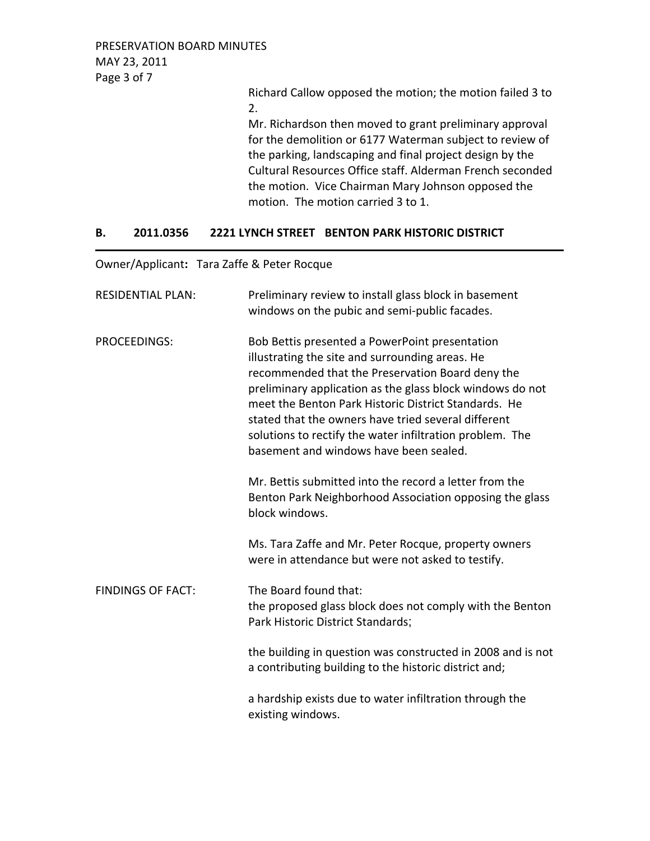PRESERVATION BOARD MINUTES MAY 23, 2011 Page 3 of 7

> Richard Callow opposed the motion; the motion failed 3 to 2.

> Mr. Richardson then moved to grant preliminary approval for the demolition or 6177 Waterman subject to review of the parking, landscaping and final project design by the Cultural Resources Office staff. Alderman French seconded the motion. Vice Chairman Mary Johnson opposed the motion. The motion carried 3 to 1.

## **B. 2011.0356 2221 LYNCH STREET BENTON PARK HISTORIC DISTRICT**

Owner/Applicant**:** Tara Zaffe & Peter Rocque

| <b>RESIDENTIAL PLAN:</b> | Preliminary review to install glass block in basement<br>windows on the pubic and semi-public facades.                                                                                                                                                                                                                                                                                                                                  |
|--------------------------|-----------------------------------------------------------------------------------------------------------------------------------------------------------------------------------------------------------------------------------------------------------------------------------------------------------------------------------------------------------------------------------------------------------------------------------------|
| <b>PROCEEDINGS:</b>      | Bob Bettis presented a PowerPoint presentation<br>illustrating the site and surrounding areas. He<br>recommended that the Preservation Board deny the<br>preliminary application as the glass block windows do not<br>meet the Benton Park Historic District Standards. He<br>stated that the owners have tried several different<br>solutions to rectify the water infiltration problem. The<br>basement and windows have been sealed. |
|                          | Mr. Bettis submitted into the record a letter from the<br>Benton Park Neighborhood Association opposing the glass<br>block windows.                                                                                                                                                                                                                                                                                                     |
|                          | Ms. Tara Zaffe and Mr. Peter Rocque, property owners<br>were in attendance but were not asked to testify.                                                                                                                                                                                                                                                                                                                               |
| <b>FINDINGS OF FACT:</b> | The Board found that:<br>the proposed glass block does not comply with the Benton<br>Park Historic District Standards;                                                                                                                                                                                                                                                                                                                  |
|                          | the building in question was constructed in 2008 and is not<br>a contributing building to the historic district and;                                                                                                                                                                                                                                                                                                                    |
|                          | a hardship exists due to water infiltration through the<br>existing windows.                                                                                                                                                                                                                                                                                                                                                            |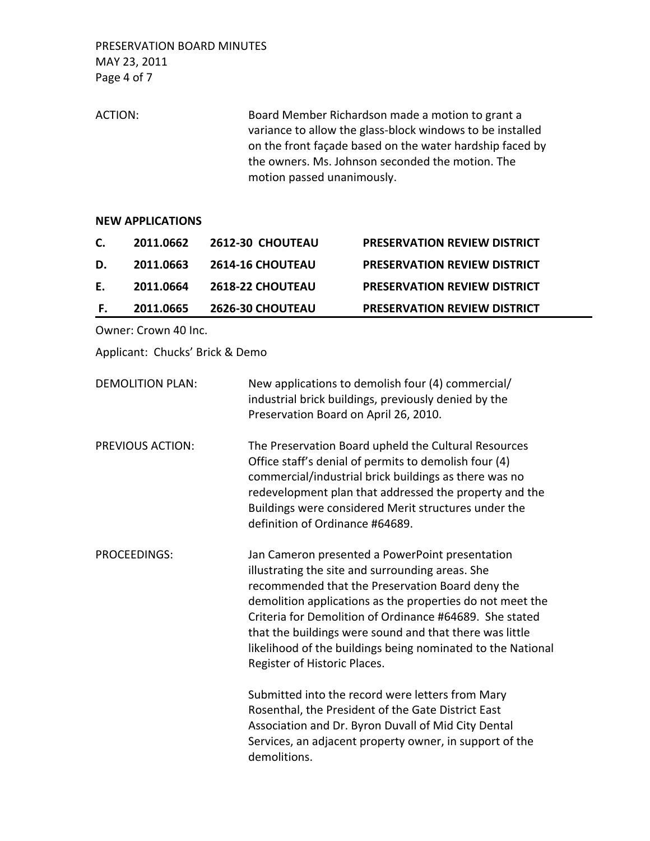PRESERVATION BOARD MINUTES MAY 23, 2011 Page 4 of 7

ACTION: Board Member Richardson made a motion to grant a variance to allow the glass‐block windows to be installed on the front façade based on the water hardship faced by the owners. Ms. Johnson seconded the motion. The motion passed unanimously.

#### **NEW APPLICATIONS**

| C. | 2011.0662 | <b>2612-30 CHOUTEAU</b> | <b>PRESERVATION REVIEW DISTRICT</b> |
|----|-----------|-------------------------|-------------------------------------|
| D. | 2011.0663 | <b>2614-16 CHOUTEAU</b> | <b>PRESERVATION REVIEW DISTRICT</b> |
| Е. | 2011.0664 | <b>2618-22 CHOUTEAU</b> | <b>PRESERVATION REVIEW DISTRICT</b> |
| Е. | 2011.0665 | <b>2626-30 CHOUTEAU</b> | <b>PRESERVATION REVIEW DISTRICT</b> |

Owner: Crown 40 Inc.

Applicant: Chucks' Brick & Demo

| <b>DEMOLITION PLAN:</b> | New applications to demolish four (4) commercial/<br>industrial brick buildings, previously denied by the<br>Preservation Board on April 26, 2010.                                                                                                                                                                          |
|-------------------------|-----------------------------------------------------------------------------------------------------------------------------------------------------------------------------------------------------------------------------------------------------------------------------------------------------------------------------|
| <b>PREVIOUS ACTION:</b> | The Preservation Board upheld the Cultural Resources<br>Office staff's denial of permits to demolish four (4)<br>commercial/industrial brick buildings as there was no<br>redevelopment plan that addressed the property and the<br>Buildings were considered Merit structures under the<br>definition of Ordinance #64689. |

PROCEEDINGS: Jan Cameron presented a PowerPoint presentation illustrating the site and surrounding areas. She recommended that the Preservation Board deny the demolition applications as the properties do not meet the Criteria for Demolition of Ordinance #64689. She stated that the buildings were sound and that there was little likelihood of the buildings being nominated to the National Register of Historic Places.

> Submitted into the record were letters from Mary Rosenthal, the President of the Gate District East Association and Dr. Byron Duvall of Mid City Dental Services, an adjacent property owner, in support of the demolitions.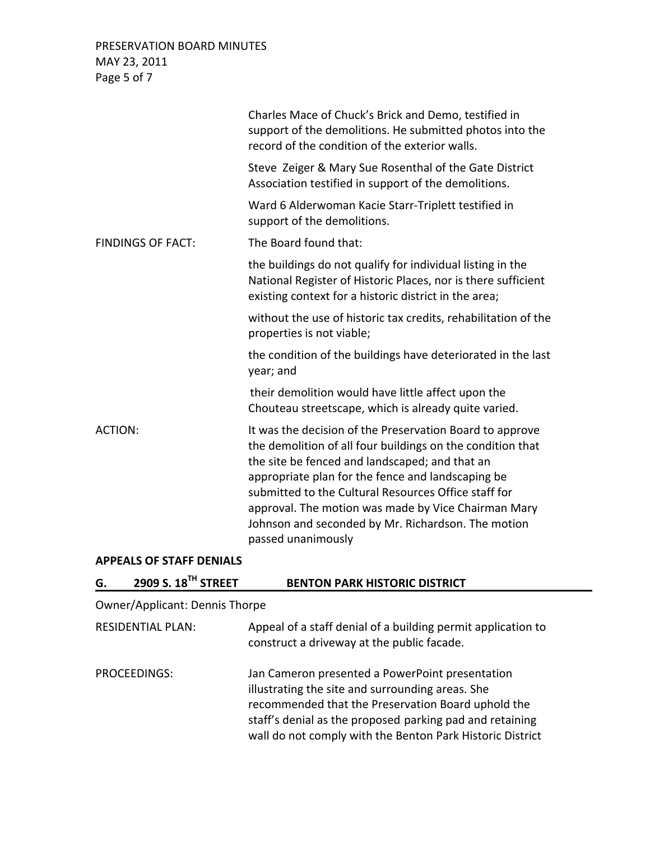PRESERVATION BOARD MINUTES MAY 23, 2011 Page 5 of 7

|                          | Charles Mace of Chuck's Brick and Demo, testified in<br>support of the demolitions. He submitted photos into the<br>record of the condition of the exterior walls.                                                                                                                                                                                                                                                       |
|--------------------------|--------------------------------------------------------------------------------------------------------------------------------------------------------------------------------------------------------------------------------------------------------------------------------------------------------------------------------------------------------------------------------------------------------------------------|
|                          | Steve Zeiger & Mary Sue Rosenthal of the Gate District<br>Association testified in support of the demolitions.                                                                                                                                                                                                                                                                                                           |
|                          | Ward 6 Alderwoman Kacie Starr-Triplett testified in<br>support of the demolitions.                                                                                                                                                                                                                                                                                                                                       |
| <b>FINDINGS OF FACT:</b> | The Board found that:                                                                                                                                                                                                                                                                                                                                                                                                    |
|                          | the buildings do not qualify for individual listing in the<br>National Register of Historic Places, nor is there sufficient<br>existing context for a historic district in the area;                                                                                                                                                                                                                                     |
|                          | without the use of historic tax credits, rehabilitation of the<br>properties is not viable;                                                                                                                                                                                                                                                                                                                              |
|                          | the condition of the buildings have deteriorated in the last<br>year; and                                                                                                                                                                                                                                                                                                                                                |
|                          | their demolition would have little affect upon the<br>Chouteau streetscape, which is already quite varied.                                                                                                                                                                                                                                                                                                               |
| <b>ACTION:</b>           | It was the decision of the Preservation Board to approve<br>the demolition of all four buildings on the condition that<br>the site be fenced and landscaped; and that an<br>appropriate plan for the fence and landscaping be<br>submitted to the Cultural Resources Office staff for<br>approval. The motion was made by Vice Chairman Mary<br>Johnson and seconded by Mr. Richardson. The motion<br>passed unanimously |

# **APPEALS OF STAFF DENIALS**

| G. | 2909 S. 18 <sup>TH</sup> STREET       | <b>BENTON PARK HISTORIC DISTRICT</b>                                                                                                                                                                                                                                               |
|----|---------------------------------------|------------------------------------------------------------------------------------------------------------------------------------------------------------------------------------------------------------------------------------------------------------------------------------|
|    | <b>Owner/Applicant: Dennis Thorpe</b> |                                                                                                                                                                                                                                                                                    |
|    | <b>RESIDENTIAL PLAN:</b>              | Appeal of a staff denial of a building permit application to<br>construct a driveway at the public facade.                                                                                                                                                                         |
|    | PROCEEDINGS:                          | Jan Cameron presented a PowerPoint presentation<br>illustrating the site and surrounding areas. She<br>recommended that the Preservation Board uphold the<br>staff's denial as the proposed parking pad and retaining<br>wall do not comply with the Benton Park Historic District |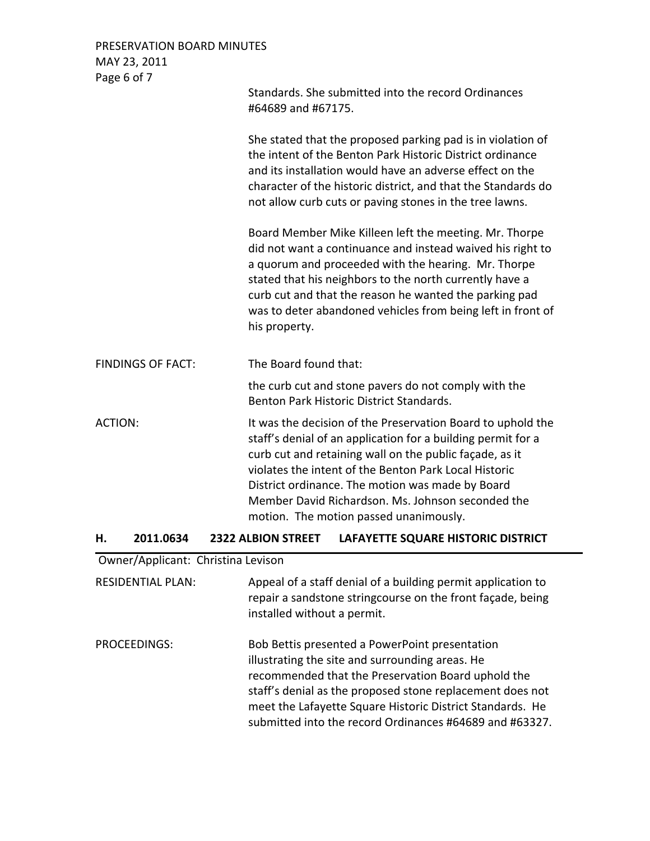| PRESERVATION BOARD MINUTES |                                                                                                                                                                                                                                                                                                                                                                                                    |
|----------------------------|----------------------------------------------------------------------------------------------------------------------------------------------------------------------------------------------------------------------------------------------------------------------------------------------------------------------------------------------------------------------------------------------------|
| MAY 23, 2011               |                                                                                                                                                                                                                                                                                                                                                                                                    |
| Page 6 of 7                |                                                                                                                                                                                                                                                                                                                                                                                                    |
|                            | Standards. She submitted into the record Ordinances<br>#64689 and #67175.                                                                                                                                                                                                                                                                                                                          |
|                            | She stated that the proposed parking pad is in violation of<br>the intent of the Benton Park Historic District ordinance<br>and its installation would have an adverse effect on the<br>character of the historic district, and that the Standards do<br>not allow curb cuts or paving stones in the tree lawns.                                                                                   |
|                            | Board Member Mike Killeen left the meeting. Mr. Thorpe<br>did not want a continuance and instead waived his right to<br>a quorum and proceeded with the hearing. Mr. Thorpe<br>stated that his neighbors to the north currently have a<br>curb cut and that the reason he wanted the parking pad<br>was to deter abandoned vehicles from being left in front of<br>his property.                   |
| <b>FINDINGS OF FACT:</b>   | The Board found that:                                                                                                                                                                                                                                                                                                                                                                              |
|                            | the curb cut and stone pavers do not comply with the<br>Benton Park Historic District Standards.                                                                                                                                                                                                                                                                                                   |
| <b>ACTION:</b>             | It was the decision of the Preservation Board to uphold the<br>staff's denial of an application for a building permit for a<br>curb cut and retaining wall on the public façade, as it<br>violates the intent of the Benton Park Local Historic<br>District ordinance. The motion was made by Board<br>Member David Richardson. Ms. Johnson seconded the<br>motion. The motion passed unanimously. |

## **H. 2011.0634 2322 ALBION STREET LAFAYETTE SQUARE HISTORIC DISTRICT**

## Owner/Applicant: Christina Levison

RESIDENTIAL PLAN: Appeal of a staff denial of a building permit application to repair a sandstone stringcourse on the front façade, being installed without a permit.

PROCEEDINGS: Bob Bettis presented a PowerPoint presentation illustrating the site and surrounding areas. He recommended that the Preservation Board uphold the staff's denial as the proposed stone replacement does not meet the Lafayette Square Historic District Standards. He submitted into the record Ordinances #64689 and #63327.